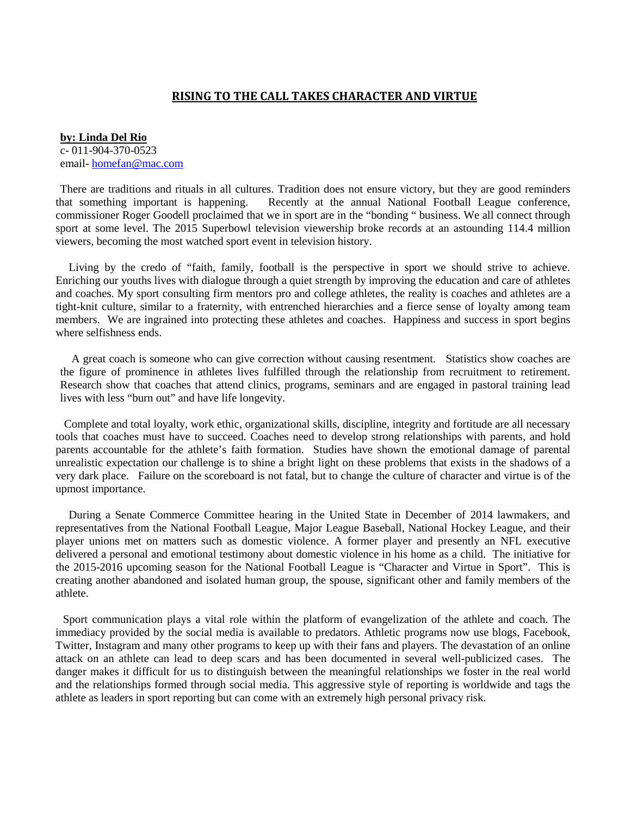## **RISING TO THE CALL TAKES CHARACTER AND VIRTUE**

**by: Linda Del Rio** c- 011-904-370-0523 email- [homefan@mac.com](mailto:homefan@mac.com)

There are traditions and rituals in all cultures. Tradition does not ensure victory, but they are good reminders that something important is happening. Recently at the annual National Football League conference, commissioner Roger Goodell proclaimed that we in sport are in the "bonding " business. We all connect through sport at some level. The 2015 Superbowl television viewership broke records at an astounding 114.4 million viewers, becoming the most watched sport event in television history.

 Living by the credo of "faith, family, football is the perspective in sport we should strive to achieve. Enriching our youths lives with dialogue through a quiet strength by improving the education and care of athletes and coaches. My sport consulting firm mentors pro and college athletes, the reality is coaches and athletes are a tight-knit culture, similar to a fraternity, with entrenched hierarchies and a fierce sense of loyalty among team members. We are ingrained into protecting these athletes and coaches. Happiness and success in sport begins where selfishness ends.

 A great coach is someone who can give correction without causing resentment. Statistics show coaches are the figure of prominence in athletes lives fulfilled through the relationship from recruitment to retirement. Research show that coaches that attend clinics, programs, seminars and are engaged in pastoral training lead lives with less "burn out" and have life longevity.

 Complete and total loyalty, work ethic, organizational skills, discipline, integrity and fortitude are all necessary tools that coaches must have to succeed. Coaches need to develop strong relationships with parents, and hold parents accountable for the athlete's faith formation. Studies have shown the emotional damage of parental unrealistic expectation our challenge is to shine a bright light on these problems that exists in the shadows of a very dark place. Failure on the scoreboard is not fatal, but to change the culture of character and virtue is of the upmost importance.

 During a Senate Commerce Committee hearing in the United State in December of 2014 lawmakers, and representatives from the National Football League, Major League Baseball, National Hockey League, and their player unions met on matters such as domestic violence. A former player and presently an NFL executive delivered a personal and emotional testimony about domestic violence in his home as a child. The initiative for the 2015-2016 upcoming season for the National Football League is "Character and Virtue in Sport". This is creating another abandoned and isolated human group, the spouse, significant other and family members of the athlete.

Sport communication plays a vital role within the platform of evangelization of the athlete and coach. The immediacy provided by the social media is available to predators. Athletic programs now use blogs, Facebook, Twitter, Instagram and many other programs to keep up with their fans and players. The devastation of an online attack on an athlete can lead to deep scars and has been documented in several well-publicized cases. The danger makes it difficult for us to distinguish between the meaningful relationships we foster in the real world and the relationships formed through social media. This aggressive style of reporting is worldwide and tags the athlete as leaders in sport reporting but can come with an extremely high personal privacy risk.